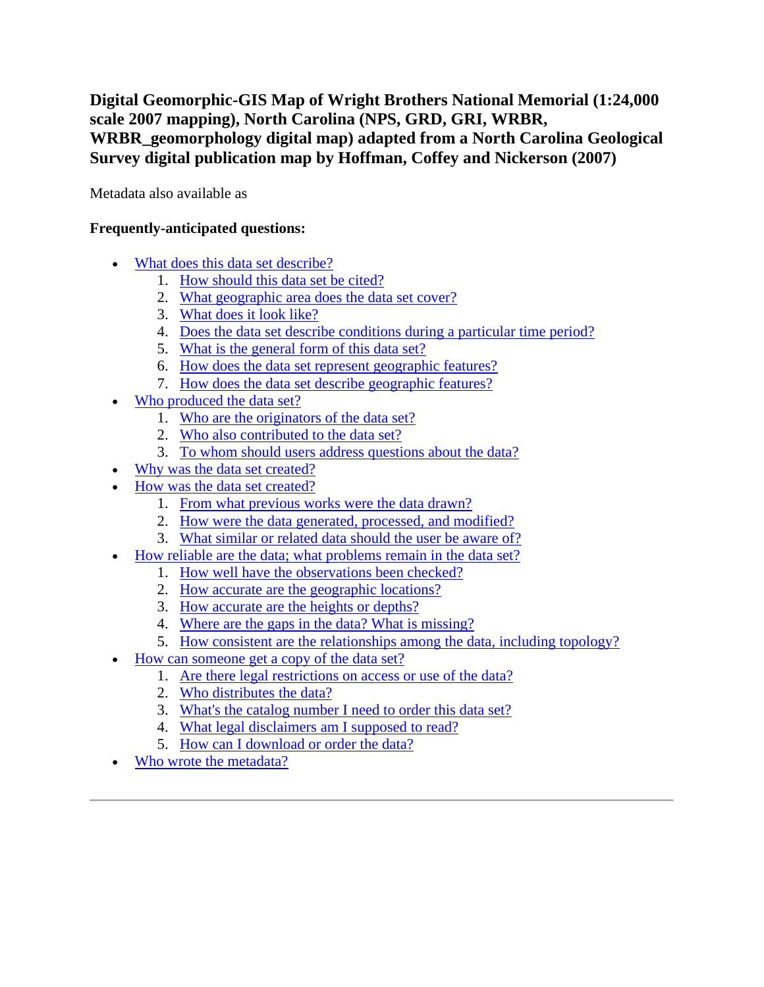**Digital Geomorphic-GIS Map of Wright Brothers National Memorial (1:24,000 scale 2007 mapping), North Carolina (NPS, GRD, GRI, WRBR, WRBR\_geomorphology digital map) adapted from a North Carolina Geological Survey digital publication map by Hoffman, Coffey and Nickerson (2007)**

Metadata also available as

## **Frequently-anticipated questions:**

- [What does this data set describe?](#page-0-0)
	- 1. [How should this data set be cited?](#page-2-0)
	- 2. [What geographic area does the data set cover?](#page-2-1)
	- 3. [What does it look like?](#page-2-2)
	- 4. [Does the data set describe conditions during a particular time period?](#page-3-0)
	- 5. [What is the general form of this data set?](#page-3-1)
	- 6. [How does the data set represent geographic features?](#page-3-2)
	- 7. [How does the data set describe geographic features?](#page-3-3)
- [Who produced the data set?](#page-4-0)
	- 1. [Who are the originators of the data set?](#page-4-1)
	- 2. [Who also contributed to the data set?](#page-4-2)
	- 3. [To whom should users address questions about the data?](#page-4-3)
- [Why was the data set created?](#page-4-4)
- [How was the data set created?](#page-4-5)
	- 1. [From what previous works were the data drawn?](#page-4-6)
	- 2. [How were the data generated, processed, and modified?](#page-5-0)
	- 3. What similar or related data [should the user be aware of?](#page-6-0)
- [How reliable are the data; what problems remain in the data set?](#page-6-1)
	- 1. [How well have the observations been checked?](#page-6-2)
	- 2. [How accurate are the geographic locations?](#page-6-3)
	- 3. [How accurate are the heights or depths?](#page-6-4)
	- 4. [Where are the gaps in the data? What is missing?](#page-6-5)
	- 5. [How consistent are the relationships among the data, including topology?](#page-7-0)
- [How can someone get a copy of the data set?](#page-7-1)
	- 1. [Are there legal restrictions on access or use of the data?](#page-7-2)
	- 2. [Who distributes the data?](#page-7-3)
	- 3. [What's the catalog number I need to order this data set?](#page-7-4)
	- 4. [What legal disclaimers am I supposed to read?](#page-7-5)
	- 5. [How can I download or order the data?](#page-8-0)
- <span id="page-0-0"></span>[Who wrote the metadata?](#page-9-0)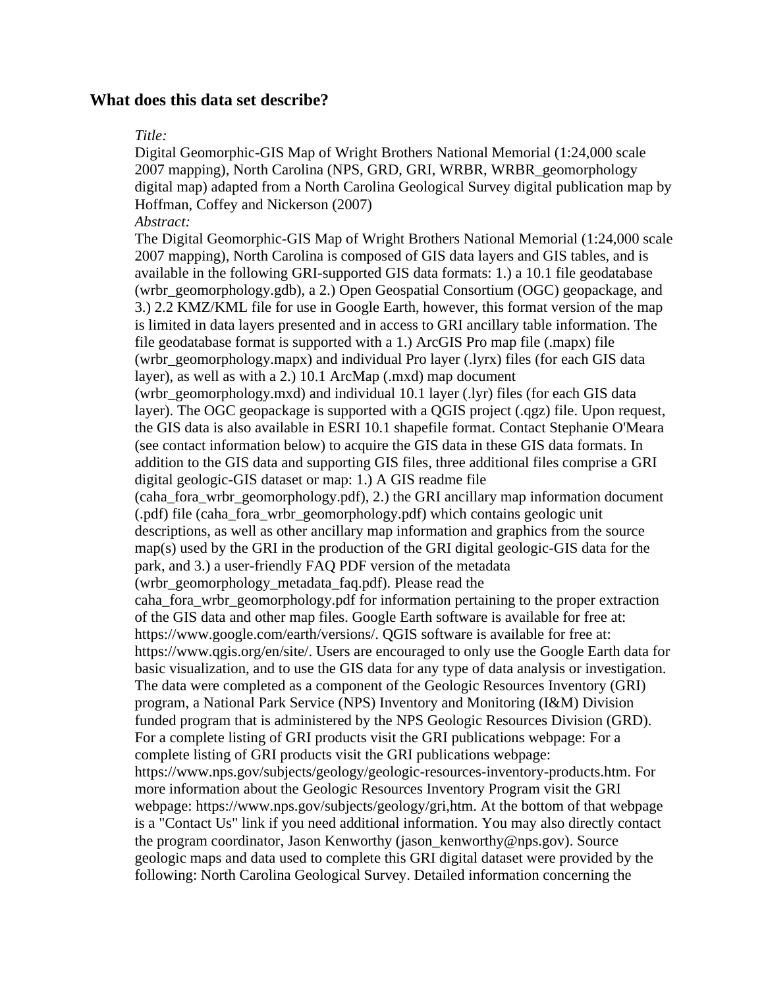## **What does this data set describe?**

#### *Title:*

Digital Geomorphic-GIS Map of Wright Brothers National Memorial (1:24,000 scale 2007 mapping), North Carolina (NPS, GRD, GRI, WRBR, WRBR\_geomorphology digital map) adapted from a North Carolina Geological Survey digital publication map by Hoffman, Coffey and Nickerson (2007)

*Abstract:*

The Digital Geomorphic-GIS Map of Wright Brothers National Memorial (1:24,000 scale 2007 mapping), North Carolina is composed of GIS data layers and GIS tables, and is available in the following GRI-supported GIS data formats: 1.) a 10.1 file geodatabase (wrbr\_geomorphology.gdb), a 2.) Open Geospatial Consortium (OGC) geopackage, and 3.) 2.2 KMZ/KML file for use in Google Earth, however, this format version of the map is limited in data layers presented and in access to GRI ancillary table information. The file geodatabase format is supported with a 1.) ArcGIS Pro map file (.mapx) file (wrbr\_geomorphology.mapx) and individual Pro layer (.lyrx) files (for each GIS data layer), as well as with a 2.) 10.1 ArcMap (.mxd) map document (wrbr\_geomorphology.mxd) and individual 10.1 layer (.lyr) files (for each GIS data layer). The OGC geopackage is supported with a QGIS project (.qgz) file. Upon request, the GIS data is also available in ESRI 10.1 shapefile format. Contact Stephanie O'Meara (see contact information below) to acquire the GIS data in these GIS data formats. In addition to the GIS data and supporting GIS files, three additional files comprise a GRI digital geologic-GIS dataset or map: 1.) A GIS readme file (caha\_fora\_wrbr\_geomorphology.pdf), 2.) the GRI ancillary map information document (.pdf) file (caha\_fora\_wrbr\_geomorphology.pdf) which contains geologic unit descriptions, as well as other ancillary map information and graphics from the source map(s) used by the GRI in the production of the GRI digital geologic-GIS data for the park, and 3.) a user-friendly FAQ PDF version of the metadata (wrbr\_geomorphology\_metadata\_faq.pdf). Please read the caha\_fora\_wrbr\_geomorphology.pdf for information pertaining to the proper extraction of the GIS data and other map files. Google Earth software is available for free at: https://www.google.com/earth/versions/. QGIS software is available for free at: https://www.qgis.org/en/site/. Users are encouraged to only use the Google Earth data for basic visualization, and to use the GIS data for any type of data analysis or investigation. The data were completed as a component of the Geologic Resources Inventory (GRI) program, a National Park Service (NPS) Inventory and Monitoring (I&M) Division funded program that is administered by the NPS Geologic Resources Division (GRD). For a complete listing of GRI products visit the GRI publications webpage: For a complete listing of GRI products visit the GRI publications webpage: https://www.nps.gov/subjects/geology/geologic-resources-inventory-products.htm. For more information about the Geologic Resources Inventory Program visit the GRI webpage: https://www.nps.gov/subjects/geology/gri,htm. At the bottom of that webpage is a "Contact Us" link if you need additional information. You may also directly contact the program coordinator, Jason Kenworthy (jason\_kenworthy@nps.gov). Source geologic maps and data used to complete this GRI digital dataset were provided by the following: North Carolina Geological Survey. Detailed information concerning the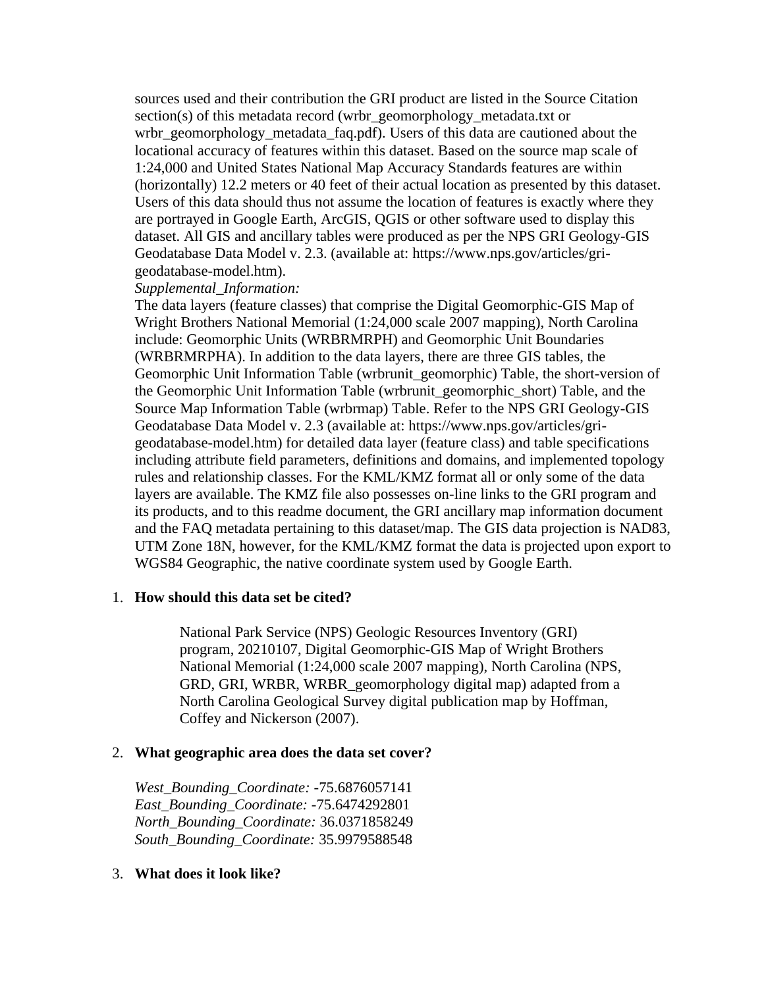sources used and their contribution the GRI product are listed in the Source Citation section(s) of this metadata record (wrbr\_geomorphology\_metadata.txt or wrbr\_geomorphology\_metadata\_faq.pdf). Users of this data are cautioned about the locational accuracy of features within this dataset. Based on the source map scale of 1:24,000 and United States National Map Accuracy Standards features are within (horizontally) 12.2 meters or 40 feet of their actual location as presented by this dataset. Users of this data should thus not assume the location of features is exactly where they are portrayed in Google Earth, ArcGIS, QGIS or other software used to display this dataset. All GIS and ancillary tables were produced as per the NPS GRI Geology-GIS Geodatabase Data Model v. 2.3. (available at: https://www.nps.gov/articles/grigeodatabase-model.htm).

### *Supplemental\_Information:*

The data layers (feature classes) that comprise the Digital Geomorphic-GIS Map of Wright Brothers National Memorial (1:24,000 scale 2007 mapping), North Carolina include: Geomorphic Units (WRBRMRPH) and Geomorphic Unit Boundaries (WRBRMRPHA). In addition to the data layers, there are three GIS tables, the Geomorphic Unit Information Table (wrbrunit\_geomorphic) Table, the short-version of the Geomorphic Unit Information Table (wrbrunit\_geomorphic\_short) Table, and the Source Map Information Table (wrbrmap) Table. Refer to the NPS GRI Geology-GIS Geodatabase Data Model v. 2.3 (available at: https://www.nps.gov/articles/grigeodatabase-model.htm) for detailed data layer (feature class) and table specifications including attribute field parameters, definitions and domains, and implemented topology rules and relationship classes. For the KML/KMZ format all or only some of the data layers are available. The KMZ file also possesses on-line links to the GRI program and its products, and to this readme document, the GRI ancillary map information document and the FAQ metadata pertaining to this dataset/map. The GIS data projection is NAD83, UTM Zone 18N, however, for the KML/KMZ format the data is projected upon export to WGS84 Geographic, the native coordinate system used by Google Earth.

#### <span id="page-2-0"></span>1. **How should this data set be cited?**

National Park Service (NPS) Geologic Resources Inventory (GRI) program, 20210107, Digital Geomorphic-GIS Map of Wright Brothers National Memorial (1:24,000 scale 2007 mapping), North Carolina (NPS, GRD, GRI, WRBR, WRBR\_geomorphology digital map) adapted from a North Carolina Geological Survey digital publication map by Hoffman, Coffey and Nickerson (2007).

## <span id="page-2-1"></span>2. **What geographic area does the data set cover?**

*West\_Bounding\_Coordinate:* -75.6876057141 *East\_Bounding\_Coordinate:* -75.6474292801 *North\_Bounding\_Coordinate:* 36.0371858249 *South\_Bounding\_Coordinate:* 35.9979588548

## <span id="page-2-2"></span>3. **What does it look like?**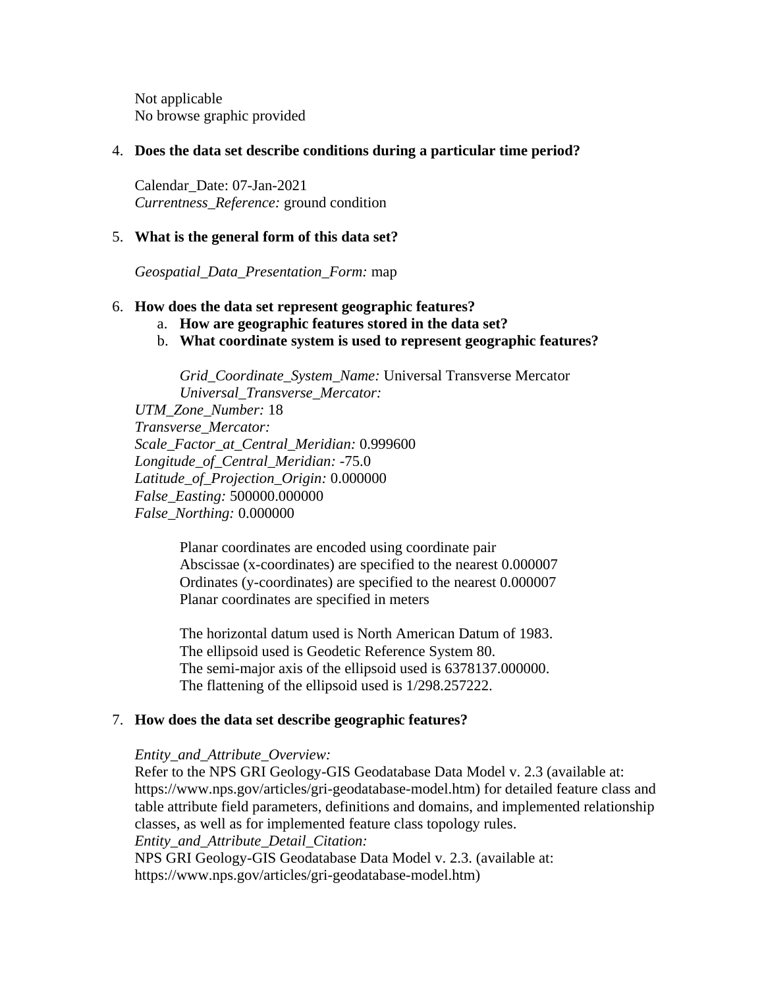Not applicable No browse graphic provided

## <span id="page-3-0"></span>4. **Does the data set describe conditions during a particular time period?**

Calendar\_Date: 07-Jan-2021 *Currentness\_Reference:* ground condition

## <span id="page-3-1"></span>5. **What is the general form of this data set?**

*Geospatial\_Data\_Presentation\_Form:* map

## <span id="page-3-2"></span>6. **How does the data set represent geographic features?**

- a. **How are geographic features stored in the data set?**
- b. **What coordinate system is used to represent geographic features?**

*Grid\_Coordinate\_System\_Name:* Universal Transverse Mercator *Universal\_Transverse\_Mercator:*

*UTM\_Zone\_Number:* 18 *Transverse\_Mercator: Scale\_Factor\_at\_Central\_Meridian:* 0.999600 *Longitude\_of\_Central\_Meridian:* -75.0 *Latitude\_of\_Projection\_Origin:* 0.000000 *False\_Easting:* 500000.000000 *False\_Northing:* 0.000000

> Planar coordinates are encoded using coordinate pair Abscissae (x-coordinates) are specified to the nearest 0.000007 Ordinates (y-coordinates) are specified to the nearest 0.000007 Planar coordinates are specified in meters

> The horizontal datum used is North American Datum of 1983. The ellipsoid used is Geodetic Reference System 80. The semi-major axis of the ellipsoid used is 6378137.000000. The flattening of the ellipsoid used is 1/298.257222.

## <span id="page-3-3"></span>7. **How does the data set describe geographic features?**

## *Entity\_and\_Attribute\_Overview:*

Refer to the NPS GRI Geology-GIS Geodatabase Data Model v. 2.3 (available at: https://www.nps.gov/articles/gri-geodatabase-model.htm) for detailed feature class and table attribute field parameters, definitions and domains, and implemented relationship classes, as well as for implemented feature class topology rules. *Entity\_and\_Attribute\_Detail\_Citation:* NPS GRI Geology-GIS Geodatabase Data Model v. 2.3. (available at: https://www.nps.gov/articles/gri-geodatabase-model.htm)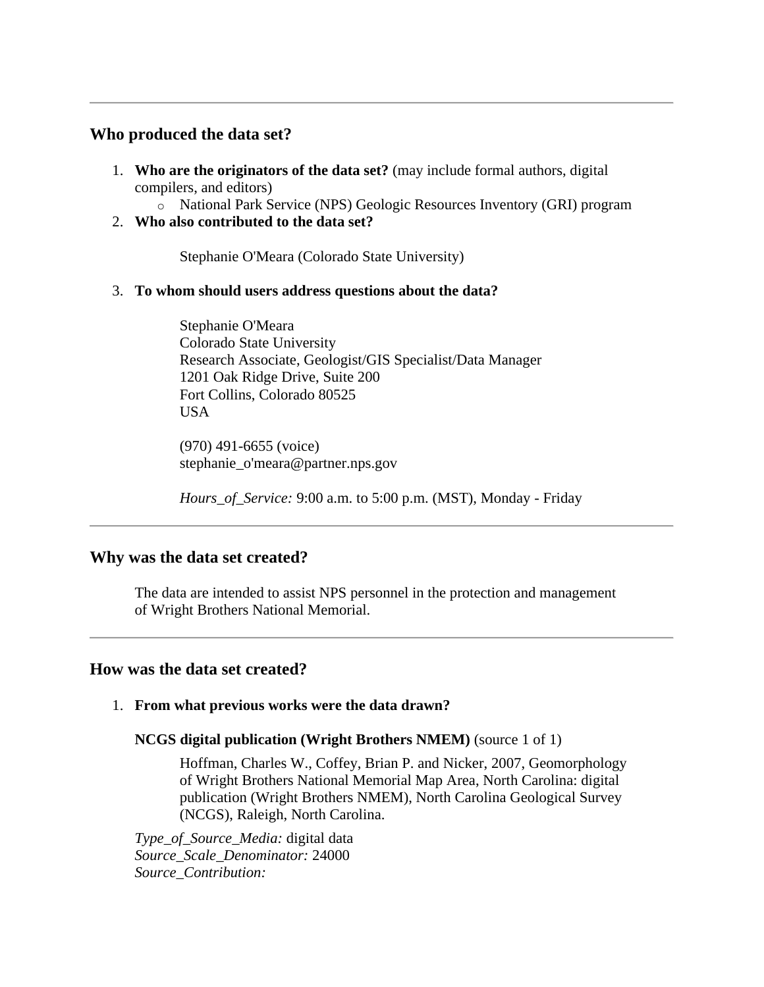## <span id="page-4-0"></span>**Who produced the data set?**

- <span id="page-4-1"></span>1. **Who are the originators of the data set?** (may include formal authors, digital compilers, and editors)
	- o National Park Service (NPS) Geologic Resources Inventory (GRI) program
- <span id="page-4-2"></span>2. **Who also contributed to the data set?**

Stephanie O'Meara (Colorado State University)

## <span id="page-4-3"></span>3. **To whom should users address questions about the data?**

Stephanie O'Meara Colorado State University Research Associate, Geologist/GIS Specialist/Data Manager 1201 Oak Ridge Drive, Suite 200 Fort Collins, Colorado 80525 USA

(970) 491-6655 (voice) stephanie\_o'meara@partner.nps.gov

*Hours\_of\_Service:* 9:00 a.m. to 5:00 p.m. (MST), Monday - Friday

## <span id="page-4-4"></span>**Why was the data set created?**

The data are intended to assist NPS personnel in the protection and management of Wright Brothers National Memorial.

## <span id="page-4-5"></span>**How was the data set created?**

## <span id="page-4-6"></span>1. **From what previous works were the data drawn?**

## **NCGS digital publication (Wright Brothers NMEM)** (source 1 of 1)

Hoffman, Charles W., Coffey, Brian P. and Nicker, 2007, Geomorphology of Wright Brothers National Memorial Map Area, North Carolina: digital publication (Wright Brothers NMEM), North Carolina Geological Survey (NCGS), Raleigh, North Carolina.

*Type\_of\_Source\_Media:* digital data *Source\_Scale\_Denominator:* 24000 *Source\_Contribution:*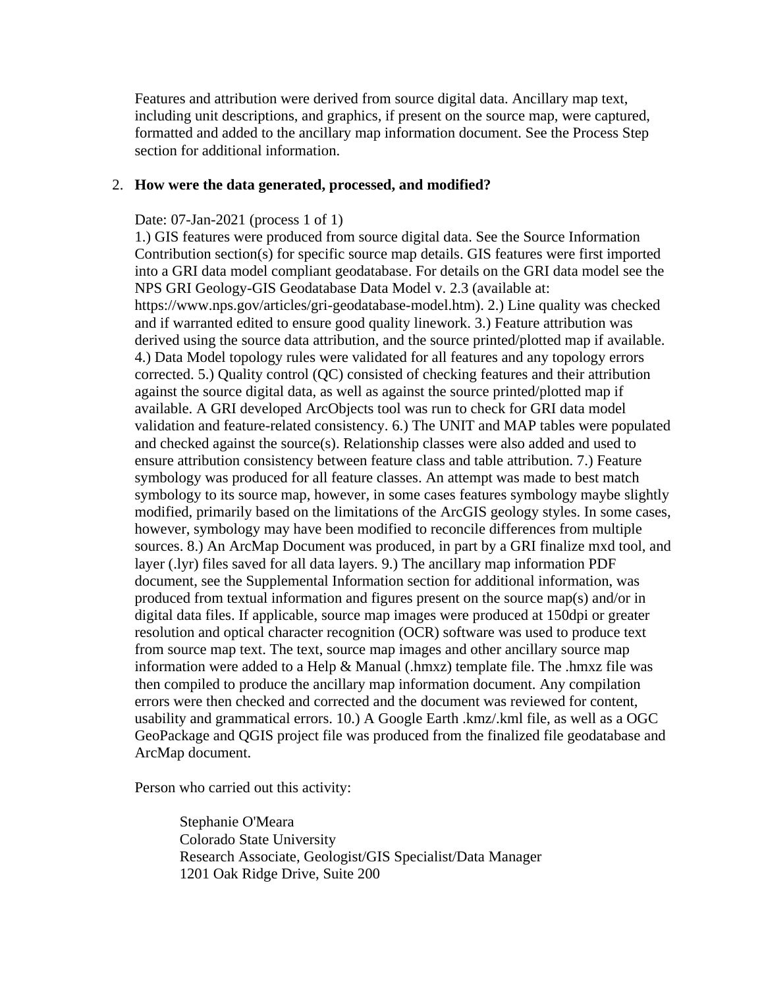Features and attribution were derived from source digital data. Ancillary map text, including unit descriptions, and graphics, if present on the source map, were captured, formatted and added to the ancillary map information document. See the Process Step section for additional information.

#### <span id="page-5-0"></span>2. **How were the data generated, processed, and modified?**

#### Date: 07-Jan-2021 (process 1 of 1)

1.) GIS features were produced from source digital data. See the Source Information Contribution section(s) for specific source map details. GIS features were first imported into a GRI data model compliant geodatabase. For details on the GRI data model see the NPS GRI Geology-GIS Geodatabase Data Model v. 2.3 (available at: https://www.nps.gov/articles/gri-geodatabase-model.htm). 2.) Line quality was checked and if warranted edited to ensure good quality linework. 3.) Feature attribution was derived using the source data attribution, and the source printed/plotted map if available. 4.) Data Model topology rules were validated for all features and any topology errors corrected. 5.) Quality control (QC) consisted of checking features and their attribution against the source digital data, as well as against the source printed/plotted map if available. A GRI developed ArcObjects tool was run to check for GRI data model validation and feature-related consistency. 6.) The UNIT and MAP tables were populated and checked against the source(s). Relationship classes were also added and used to ensure attribution consistency between feature class and table attribution. 7.) Feature symbology was produced for all feature classes. An attempt was made to best match symbology to its source map, however, in some cases features symbology maybe slightly modified, primarily based on the limitations of the ArcGIS geology styles. In some cases, however, symbology may have been modified to reconcile differences from multiple sources. 8.) An ArcMap Document was produced, in part by a GRI finalize mxd tool, and layer (.lyr) files saved for all data layers. 9.) The ancillary map information PDF document, see the Supplemental Information section for additional information, was produced from textual information and figures present on the source map(s) and/or in digital data files. If applicable, source map images were produced at 150dpi or greater resolution and optical character recognition (OCR) software was used to produce text from source map text. The text, source map images and other ancillary source map information were added to a Help & Manual (.hmxz) template file. The .hmxz file was then compiled to produce the ancillary map information document. Any compilation errors were then checked and corrected and the document was reviewed for content, usability and grammatical errors. 10.) A Google Earth .kmz/.kml file, as well as a OGC GeoPackage and QGIS project file was produced from the finalized file geodatabase and ArcMap document.

Person who carried out this activity:

Stephanie O'Meara Colorado State University Research Associate, Geologist/GIS Specialist/Data Manager 1201 Oak Ridge Drive, Suite 200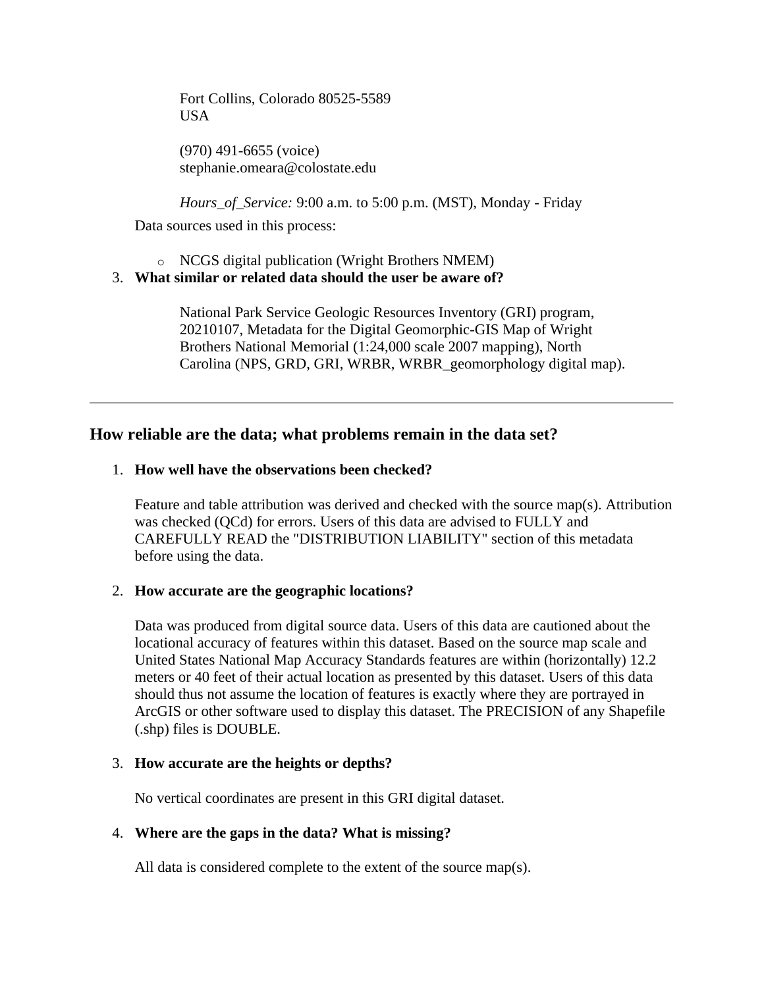Fort Collins, Colorado 80525-5589 **USA** 

(970) 491-6655 (voice) stephanie.omeara@colostate.edu

*Hours\_of\_Service:* 9:00 a.m. to 5:00 p.m. (MST), Monday - Friday

Data sources used in this process:

o NCGS digital publication (Wright Brothers NMEM)

## <span id="page-6-0"></span>3. **What similar or related data should the user be aware of?**

National Park Service Geologic Resources Inventory (GRI) program, 20210107, Metadata for the Digital Geomorphic-GIS Map of Wright Brothers National Memorial (1:24,000 scale 2007 mapping), North Carolina (NPS, GRD, GRI, WRBR, WRBR\_geomorphology digital map).

# <span id="page-6-1"></span>**How reliable are the data; what problems remain in the data set?**

## <span id="page-6-2"></span>1. **How well have the observations been checked?**

Feature and table attribution was derived and checked with the source map(s). Attribution was checked (QCd) for errors. Users of this data are advised to FULLY and CAREFULLY READ the "DISTRIBUTION LIABILITY" section of this metadata before using the data.

## <span id="page-6-3"></span>2. **How accurate are the geographic locations?**

Data was produced from digital source data. Users of this data are cautioned about the locational accuracy of features within this dataset. Based on the source map scale and United States National Map Accuracy Standards features are within (horizontally) 12.2 meters or 40 feet of their actual location as presented by this dataset. Users of this data should thus not assume the location of features is exactly where they are portrayed in ArcGIS or other software used to display this dataset. The PRECISION of any Shapefile (.shp) files is DOUBLE.

## <span id="page-6-4"></span>3. **How accurate are the heights or depths?**

No vertical coordinates are present in this GRI digital dataset.

## <span id="page-6-5"></span>4. **Where are the gaps in the data? What is missing?**

All data is considered complete to the extent of the source map(s).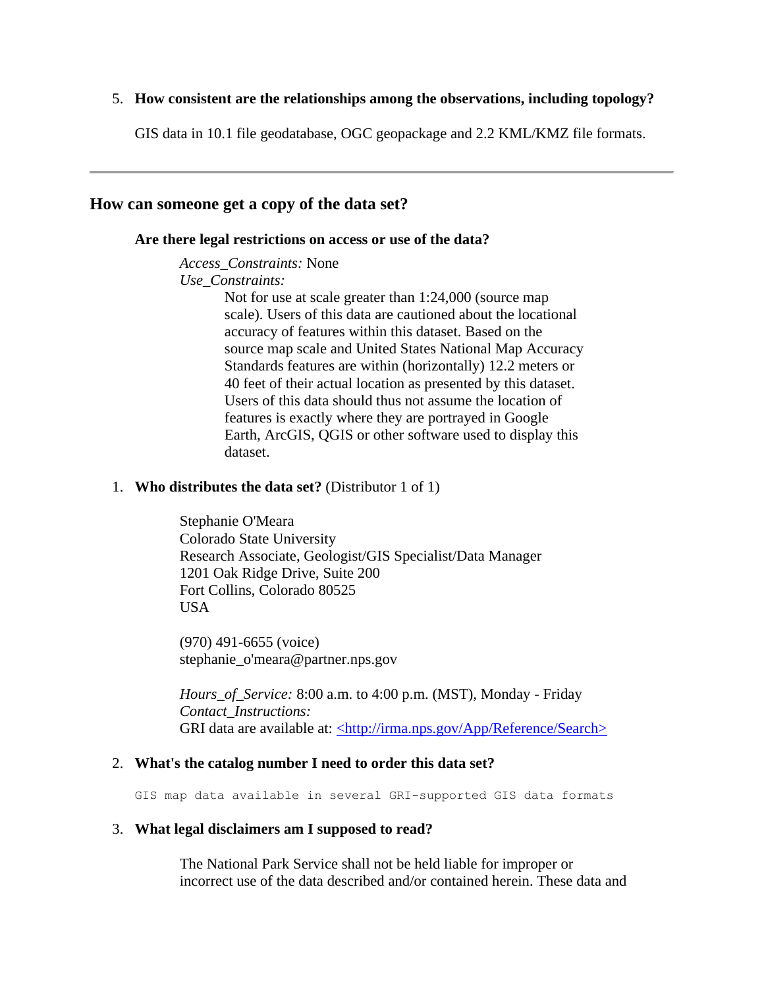### <span id="page-7-0"></span>5. **How consistent are the relationships among the observations, including topology?**

GIS data in 10.1 file geodatabase, OGC geopackage and 2.2 KML/KMZ file formats.

## <span id="page-7-2"></span><span id="page-7-1"></span>**How can someone get a copy of the data set?**

#### **Are there legal restrictions on access or use of the data?**

*Access\_Constraints:* None *Use\_Constraints:*

Not for use at scale greater than 1:24,000 (source map scale). Users of this data are cautioned about the locational accuracy of features within this dataset. Based on the source map scale and United States National Map Accuracy Standards features are within (horizontally) 12.2 meters or 40 feet of their actual location as presented by this dataset. Users of this data should thus not assume the location of features is exactly where they are portrayed in Google Earth, ArcGIS, QGIS or other software used to display this dataset.

#### <span id="page-7-3"></span>1. **Who distributes the data set?** (Distributor 1 of 1)

Stephanie O'Meara Colorado State University Research Associate, Geologist/GIS Specialist/Data Manager 1201 Oak Ridge Drive, Suite 200 Fort Collins, Colorado 80525 USA

(970) 491-6655 (voice) stephanie\_o'meara@partner.nps.gov

*Hours\_of\_Service:* 8:00 a.m. to 4:00 p.m. (MST), Monday - Friday *Contact\_Instructions:* GRI data are available at: [<http://irma.nps.gov/App/Reference/Search>](http://irma.nps.gov/App/Reference/Search)

#### <span id="page-7-4"></span>2. **What's the catalog number I need to order this data set?**

GIS map data available in several GRI-supported GIS data formats

#### <span id="page-7-5"></span>3. **What legal disclaimers am I supposed to read?**

The National Park Service shall not be held liable for improper or incorrect use of the data described and/or contained herein. These data and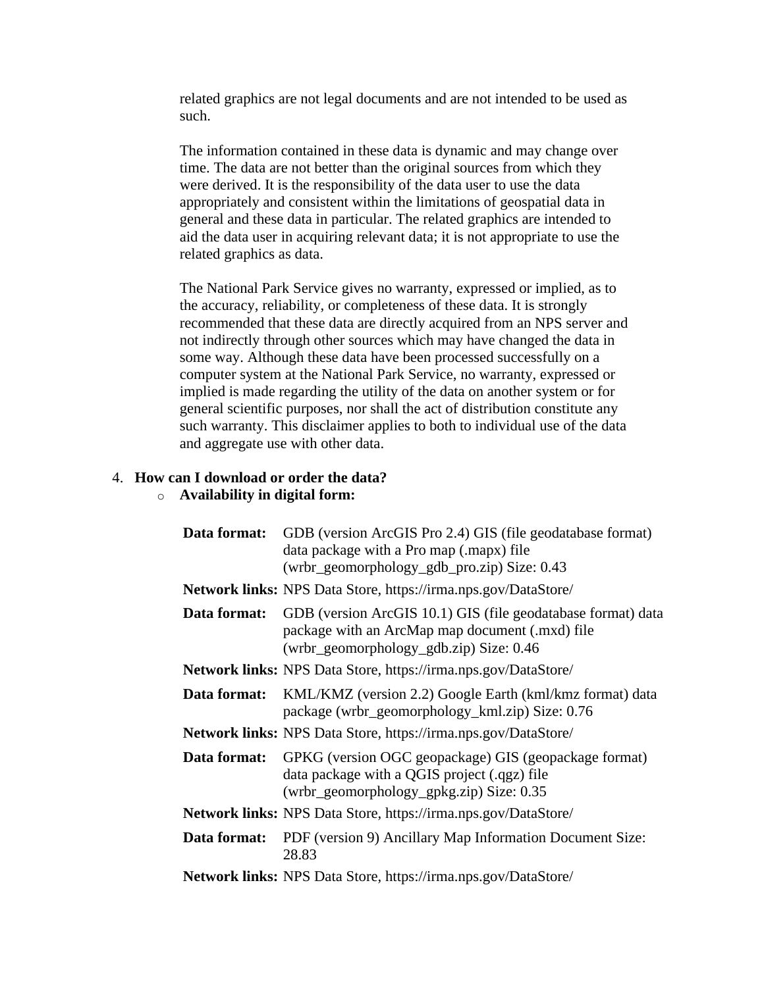related graphics are not legal documents and are not intended to be used as such.

The information contained in these data is dynamic and may change over time. The data are not better than the original sources from which they were derived. It is the responsibility of the data user to use the data appropriately and consistent within the limitations of geospatial data in general and these data in particular. The related graphics are intended to aid the data user in acquiring relevant data; it is not appropriate to use the related graphics as data.

The National Park Service gives no warranty, expressed or implied, as to the accuracy, reliability, or completeness of these data. It is strongly recommended that these data are directly acquired from an NPS server and not indirectly through other sources which may have changed the data in some way. Although these data have been processed successfully on a computer system at the National Park Service, no warranty, expressed or implied is made regarding the utility of the data on another system or for general scientific purposes, nor shall the act of distribution constitute any such warranty. This disclaimer applies to both to individual use of the data and aggregate use with other data.

#### <span id="page-8-0"></span>4. **How can I download or order the data?**

#### o **Availability in digital form:**

| Data format: | GDB (version ArcGIS Pro 2.4) GIS (file geodatabase format)<br>data package with a Pro map (.mapx) file<br>(wrbr_geomorphology_gdb_pro.zip) Size: 0.43      |
|--------------|------------------------------------------------------------------------------------------------------------------------------------------------------------|
|              | <b>Network links:</b> NPS Data Store, https://irma.nps.gov/DataStore/                                                                                      |
| Data format: | GDB (version ArcGIS 10.1) GIS (file geodatabase format) data<br>package with an ArcMap map document (.mxd) file<br>(wrbr_geomorphology_gdb.zip) Size: 0.46 |
|              | <b>Network links:</b> NPS Data Store, https://irma.nps.gov/DataStore/                                                                                      |
| Data format: | KML/KMZ (version 2.2) Google Earth (kml/kmz format) data<br>package (wrbr_geomorphology_kml.zip) Size: 0.76                                                |
|              | <b>Network links:</b> NPS Data Store, https://irma.nps.gov/DataStore/                                                                                      |
| Data format: | GPKG (version OGC geopackage) GIS (geopackage format)<br>data package with a QGIS project (.qgz) file<br>(wrbr_geomorphology_gpkg.zip) Size: 0.35          |
|              | <b>Network links:</b> NPS Data Store, https://irma.nps.gov/DataStore/                                                                                      |
| Data format: | PDF (version 9) Ancillary Map Information Document Size:<br>28.83                                                                                          |
|              | <b>Network links:</b> NPS Data Store, https://irma.nps.gov/DataStore/                                                                                      |